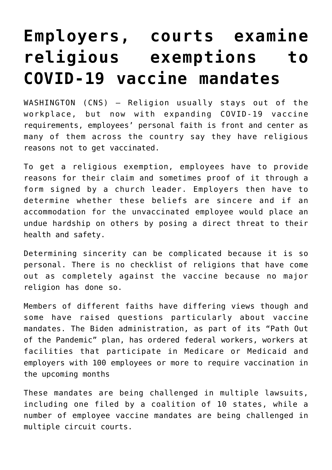## **[Employers, courts examine](https://www.osvnews.com/amp/2021/11/15/employers-courts-examine-religious-exemptions-to-covid-19-vaccine-mandates/) [religious exemptions to](https://www.osvnews.com/amp/2021/11/15/employers-courts-examine-religious-exemptions-to-covid-19-vaccine-mandates/) [COVID-19 vaccine mandates](https://www.osvnews.com/amp/2021/11/15/employers-courts-examine-religious-exemptions-to-covid-19-vaccine-mandates/)**

WASHINGTON (CNS) — Religion usually stays out of the workplace, but now with expanding COVID-19 vaccine requirements, employees' personal faith is front and center as many of them across the country say they have religious reasons not to get vaccinated.

To get a religious exemption, employees have to provide reasons for their claim and sometimes proof of it through a form signed by a church leader. Employers then have to determine whether these beliefs are sincere and if an accommodation for the unvaccinated employee would place an undue hardship on others by posing a direct threat to their health and safety.

Determining sincerity can be complicated because it is so personal. There is no checklist of religions that have come out as completely against the vaccine because no major religion has done so.

Members of different faiths have differing views though and some have raised questions particularly about vaccine mandates. The Biden administration, as part of its "Path Out of the Pandemic" plan, has ordered federal workers, workers at facilities that participate in Medicare or Medicaid and employers with 100 employees or more to require vaccination in the upcoming months

These mandates are being challenged in multiple lawsuits, including one filed by a coalition of 10 states, while a number of employee vaccine mandates are being challenged in multiple circuit courts.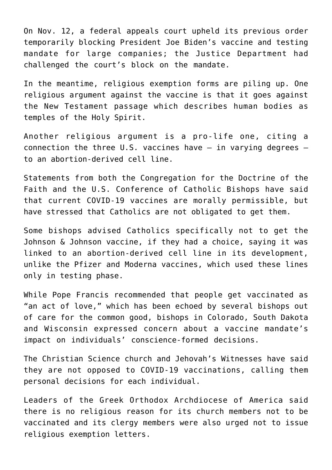On Nov. 12, a federal appeals court upheld its previous order temporarily blocking President Joe Biden's vaccine and testing mandate for large companies; the Justice Department had challenged the court's block on the mandate.

In the meantime, religious exemption forms are piling up. One religious argument against the vaccine is that it goes against the New Testament passage which describes human bodies as temples of the Holy Spirit.

Another religious argument is a pro-life one, citing a connection the three U.S. vaccines have  $-$  in varying degrees  $$ to an abortion-derived cell line.

Statements from both the Congregation for the Doctrine of the Faith and the U.S. Conference of Catholic Bishops have said that current COVID-19 vaccines are morally permissible, but have stressed that Catholics are not obligated to get them.

Some bishops advised Catholics specifically not to get the Johnson & Johnson vaccine, if they had a choice, saying it was linked to an abortion-derived cell line in its development, unlike the Pfizer and Moderna vaccines, which used these lines only in testing phase.

While Pope Francis recommended that people get vaccinated as "an act of love," which has been echoed by several bishops out of care for the common good, bishops in Colorado, South Dakota and Wisconsin expressed concern about a vaccine mandate's impact on individuals' conscience-formed decisions.

The Christian Science church and Jehovah's Witnesses have said they are not opposed to COVID-19 vaccinations, calling them personal decisions for each individual.

Leaders of the Greek Orthodox Archdiocese of America said there is no religious reason for its church members not to be vaccinated and its clergy members were also urged not to issue religious exemption letters.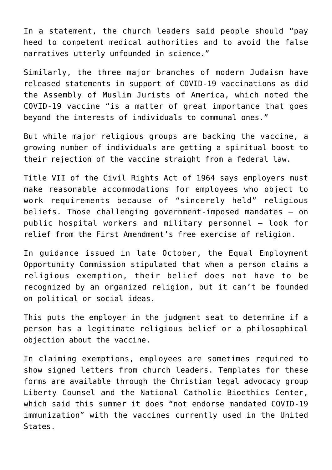In a statement, the church leaders said people should "pay heed to competent medical authorities and to avoid the false narratives utterly unfounded in science."

Similarly, the three major branches of modern Judaism have released statements in support of COVID-19 vaccinations as did the Assembly of Muslim Jurists of America, which noted the COVID-19 vaccine "is a matter of great importance that goes beyond the interests of individuals to communal ones."

But while major religious groups are backing the vaccine, a growing number of individuals are getting a spiritual boost to their rejection of the vaccine straight from a federal law.

Title VII of the Civil Rights Act of 1964 says employers must make reasonable accommodations for employees who object to work requirements because of "sincerely held" religious beliefs. Those challenging government-imposed mandates — on public hospital workers and military personnel — look for relief from the First Amendment's free exercise of religion.

In guidance issued in late October, the Equal Employment Opportunity Commission stipulated that when a person claims a religious exemption, their belief does not have to be recognized by an organized religion, but it can't be founded on political or social ideas.

This puts the employer in the judgment seat to determine if a person has a legitimate religious belief or a philosophical objection about the vaccine.

In claiming exemptions, employees are sometimes required to show signed letters from church leaders. Templates for these forms are available through the Christian legal advocacy group Liberty Counsel and the National Catholic Bioethics Center, which said this summer it does "not endorse mandated COVID-19 immunization" with the vaccines currently used in the United States.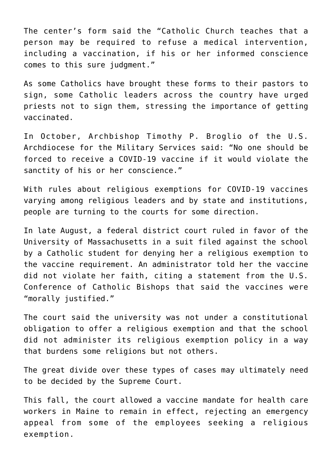The center's form said the "Catholic Church teaches that a person may be required to refuse a medical intervention, including a vaccination, if his or her informed conscience comes to this sure judgment."

As some Catholics have brought these forms to their pastors to sign, some Catholic leaders across the country have urged priests not to sign them, stressing the importance of getting vaccinated.

In October, Archbishop Timothy P. Broglio of the U.S. Archdiocese for the Military Services said: "No one should be forced to receive a COVID-19 vaccine if it would violate the sanctity of his or her conscience."

With rules about religious exemptions for COVID-19 vaccines varying among religious leaders and by state and institutions, people are turning to the courts for some direction.

In late August, a federal district court ruled in favor of the University of Massachusetts in a suit filed against the school by a Catholic student for denying her a religious exemption to the vaccine requirement. An administrator told her the vaccine did not violate her faith, citing a statement from the U.S. Conference of Catholic Bishops that said the vaccines were "morally justified."

The court said the university was not under a constitutional obligation to offer a religious exemption and that the school did not administer its religious exemption policy in a way that burdens some religions but not others.

The great divide over these types of cases may ultimately need to be decided by the Supreme Court.

This fall, the court allowed a vaccine mandate for health care workers in Maine to remain in effect, rejecting an emergency appeal from some of the employees seeking a religious exemption.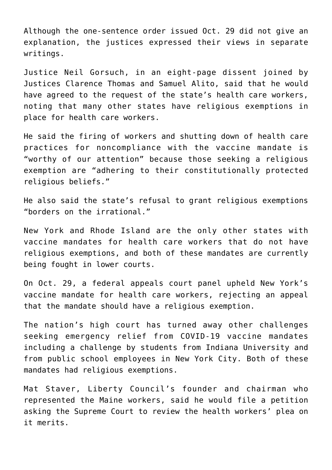Although the one-sentence order issued Oct. 29 did not give an explanation, the justices expressed their views in separate writings.

Justice Neil Gorsuch, in an eight-page dissent joined by Justices Clarence Thomas and Samuel Alito, said that he would have agreed to the request of the state's health care workers, noting that many other states have religious exemptions in place for health care workers.

He said the firing of workers and shutting down of health care practices for noncompliance with the vaccine mandate is "worthy of our attention" because those seeking a religious exemption are "adhering to their constitutionally protected religious beliefs."

He also said the state's refusal to grant religious exemptions "borders on the irrational."

New York and Rhode Island are the only other states with vaccine mandates for health care workers that do not have religious exemptions, and both of these mandates are currently being fought in lower courts.

On Oct. 29, a federal appeals court panel upheld New York's vaccine mandate for health care workers, rejecting an appeal that the mandate should have a religious exemption.

The nation's high court has turned away other challenges seeking emergency relief from COVID-19 vaccine mandates including a challenge by students from Indiana University and from public school employees in New York City. Both of these mandates had religious exemptions.

Mat Staver, Liberty Council's founder and chairman who represented the Maine workers, said he would file a petition asking the Supreme Court to review the health workers' plea on it merits.